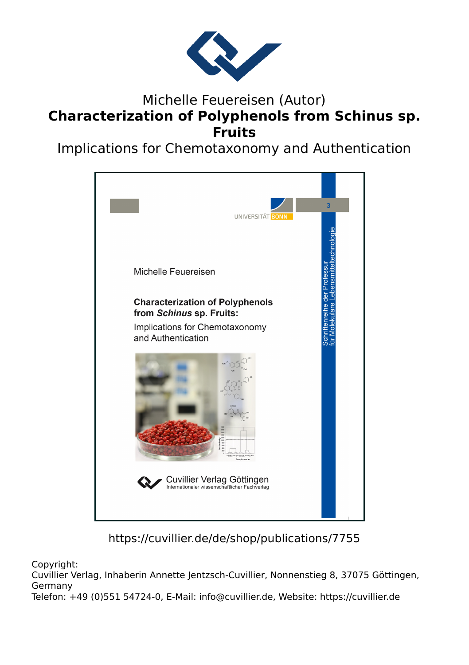

## Michelle Feuereisen (Autor) **Characterization of Polyphenols from Schinus sp. Fruits**

Implications for Chemotaxonomy and Authentication



https://cuvillier.de/de/shop/publications/7755

Copyright:

Cuvillier Verlag, Inhaberin Annette Jentzsch-Cuvillier, Nonnenstieg 8, 37075 Göttingen, Germany

Telefon: +49 (0)551 54724-0, E-Mail: info@cuvillier.de, Website: https://cuvillier.de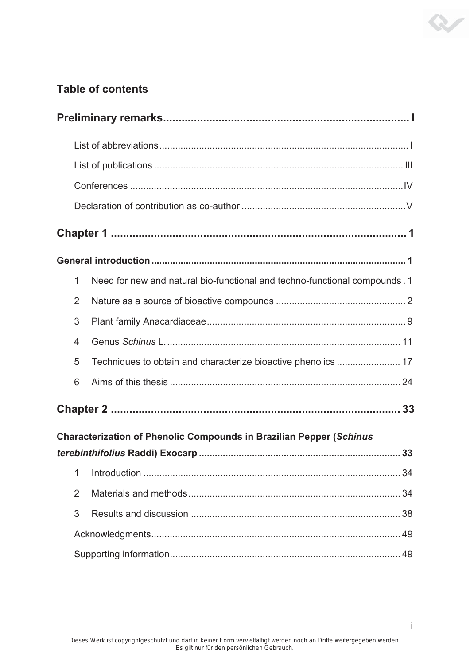## **Table of contents**

| $\mathbf 1$    | Need for new and natural bio-functional and techno-functional compounds. 1 |    |  |  |  |
|----------------|----------------------------------------------------------------------------|----|--|--|--|
| $\overline{2}$ |                                                                            |    |  |  |  |
| 3              |                                                                            |    |  |  |  |
| $\overline{4}$ |                                                                            |    |  |  |  |
| 5              |                                                                            |    |  |  |  |
| 6              |                                                                            |    |  |  |  |
|                |                                                                            |    |  |  |  |
|                | <b>Characterization of Phenolic Compounds in Brazilian Pepper (Schinus</b> |    |  |  |  |
|                |                                                                            |    |  |  |  |
| 1              |                                                                            | 34 |  |  |  |
| $\overline{2}$ |                                                                            |    |  |  |  |
| 3              |                                                                            |    |  |  |  |
|                |                                                                            |    |  |  |  |
| 49             |                                                                            |    |  |  |  |

 $\infty$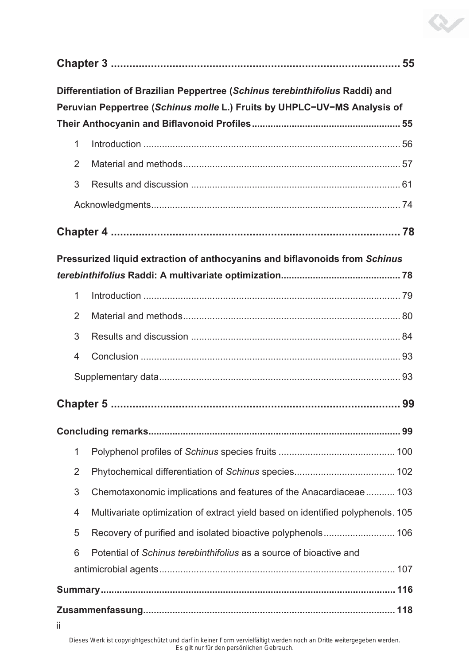| Differentiation of Brazilian Peppertree (Schinus terebinthifolius Raddi) and<br>Peruvian Peppertree (Schinus molle L.) Fruits by UHPLC-UV-MS Analysis of |                |                                                                                 |  |  |  |  |  |
|----------------------------------------------------------------------------------------------------------------------------------------------------------|----------------|---------------------------------------------------------------------------------|--|--|--|--|--|
|                                                                                                                                                          |                |                                                                                 |  |  |  |  |  |
|                                                                                                                                                          | $\mathbf{1}$   |                                                                                 |  |  |  |  |  |
|                                                                                                                                                          | $\overline{2}$ |                                                                                 |  |  |  |  |  |
|                                                                                                                                                          | 3              |                                                                                 |  |  |  |  |  |
|                                                                                                                                                          |                |                                                                                 |  |  |  |  |  |
|                                                                                                                                                          |                |                                                                                 |  |  |  |  |  |
| Pressurized liquid extraction of anthocyanins and biflavonoids from Schinus                                                                              |                |                                                                                 |  |  |  |  |  |
|                                                                                                                                                          |                |                                                                                 |  |  |  |  |  |
|                                                                                                                                                          | $\mathbf{1}$   |                                                                                 |  |  |  |  |  |
|                                                                                                                                                          | $\overline{2}$ |                                                                                 |  |  |  |  |  |
|                                                                                                                                                          | 3              |                                                                                 |  |  |  |  |  |
|                                                                                                                                                          | 4              |                                                                                 |  |  |  |  |  |
|                                                                                                                                                          |                |                                                                                 |  |  |  |  |  |
| 99                                                                                                                                                       |                |                                                                                 |  |  |  |  |  |
|                                                                                                                                                          |                |                                                                                 |  |  |  |  |  |
|                                                                                                                                                          | 1              |                                                                                 |  |  |  |  |  |
|                                                                                                                                                          | $\overline{2}$ |                                                                                 |  |  |  |  |  |
|                                                                                                                                                          | 3              | Chemotaxonomic implications and features of the Anacardiaceae  103              |  |  |  |  |  |
|                                                                                                                                                          | 4              | Multivariate optimization of extract yield based on identified polyphenols. 105 |  |  |  |  |  |
|                                                                                                                                                          | 5              |                                                                                 |  |  |  |  |  |
|                                                                                                                                                          | 6              | Potential of Schinus terebinthifolius as a source of bioactive and              |  |  |  |  |  |
|                                                                                                                                                          |                |                                                                                 |  |  |  |  |  |
|                                                                                                                                                          |                |                                                                                 |  |  |  |  |  |
| jj.                                                                                                                                                      |                |                                                                                 |  |  |  |  |  |

V